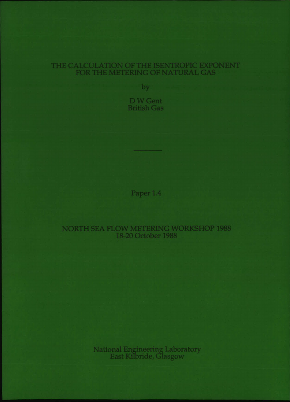# THE CALCULATION OF THE ISENTROPIC EXPONEN FOR THE METERING OF NATURAL GAS

by

D W Gent British Gas

Paper 1.4

# NORTH SEA FLOW METERING WORKSHOP 1988 18-20 October 1988

National Engineering Laborator East Kilbride, Glasgov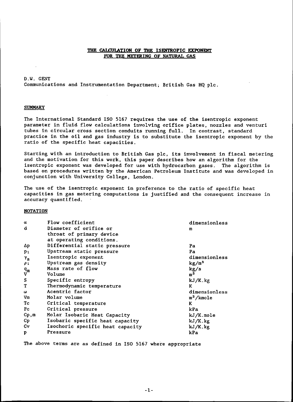### THE CALCULATION OF THE ISENTROPIC EXPONENT FOR THE METERING OF NATURAL GAS

D.W. GENT Communications and Instrumentation Department; British Gas HQ pIc.

### **SUMMARY**

The International Standard ISO 5167 requires the use of the isentropic exponent parameter in fluid flow calculations involving orifice plates, nozzles and venturi tubes in circular cross section conduits running full. In contrast, standard practice in the oil and gas industry is to substitute the isentropic exponent by the ratio of the specific heat capacities.

Starting with an introduction to British Gas pIc, its involvement in fiscal metering and the motivation for this work, this paper describes how an algorithm for the isentropic exponent was developed for use with hydrocarbon gases. The algorithm is based on procedures written by the American Petroleum Institute and was developed in conjunction with University College, London.

The use of the isentropic exponent in preference to the ratio of specific heat capacities in gas metering computations is justified and the consequent increase in accuracy quantified.

#### **NOTATION**

| $\alpha$         | Flow coefficient                 | dimensionless         |
|------------------|----------------------------------|-----------------------|
| d                | Diameter of orifice or           | m                     |
|                  | throat of primary device         |                       |
|                  | at operating conditions.         |                       |
| Δp               | Differential static pressure     | Pa                    |
| $p_1$            | Upstream static pressure         | Pa                    |
| $\gamma_{\rm s}$ | Isentropic exponent              | dimensionless         |
| $\rho_1$         | Upstream gas density             | kg/m <sup>3</sup>     |
| $\frac{q_m}{V}$  | Mass rate of flow                | kg/s                  |
|                  | Volume                           | m <sup>3</sup>        |
| S                | Specific entropy                 | kJ/K.kg               |
| T                | Thermodynamic temperature        | ĸ                     |
| ω                | Acentric factor                  | dimensionless         |
| Vm               | Molar volume                     | m <sup>3</sup> /kmole |
| Тc               | Critical temperature             | K                     |
| P <sub>c</sub>   | Critical pressure                | kPa                   |
| Cp,m             | Molar Isobaric Heat Capacity     | kJ/K.mole             |
| Cp.              | Isobaric specific heat capacity  | $kJ/K$ . $kg$         |
| Cv               | Isochoric specific heat capacity | kJ/K.kg               |
| p                | Pressure                         | kPa                   |

The above terms are as defined in ISO 5167 where appropriate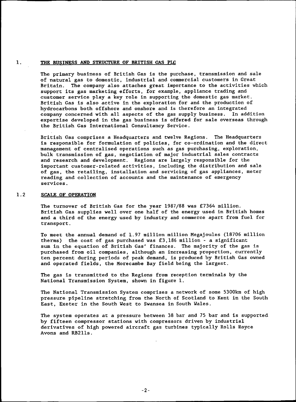#### 1. THE BUSINESS AND STRUCTURE OF BRITISH GAS PLC

The primary business of British Gas is the purchase, transmission and sale of natural gas to domestic, industrial and commercial customers in Great Britain. The company also attaches great importance to the activities which support its gas marketing efforts, for example, appliance trading and customer service play a key role in supporting the domestic gas market. British Gas is also active in the exploration for and the production of hydrocarbons both offshore and onshore and is therefore an integrated company concerned with all aspects of the gas supply business. In addition expertise developed in the gas business is offered for sale overseas through the British Gas International Consultancy Service.

British Gas comprises a Headquarters and twelve Regions. The Headquarters is responsible for formulation of policies, for co-ordination and the direct management of centralised operations such as gas purchasing, exploration, bulk transmission of gas, negotiation of major industrial sales contracts and research and development. Regions are largely responsible for the important customer-related activities, including the distribution and sale of gas, the retailing, installation and servicing of gas appliances, meter reading and collection of accounts and the maintenance of emergency services.

### 1.2 SCALE OF OPERATION

The turnover of British Gas for the year 1987/88 was £7364 million. British Gas supplies well over one half of the energy used in British homes and a third of the energy used by industry and commerce apart from fuel for transport.

To meet the annual demand of 1.97 million million Megajoules (18706 million therms) the cost of gas purchased was £3,186 million - a significant sum in the equation of British Gas' finances. The majority of the gas is purchased from oil companies, although an increasing proportion, currently ten percent during periods of peak demand, is produced by British Gas owned and operated fields, the Morecambe Bay field being the largest.

The gas is transmitted to the Regions from reception terminals by the National Transmission System, shown in figure 1.

The National Transmission System comprises a network of some 5300km of high pressure pipeline stretching from the North of Scotland to Kent in the South East, Exeter in the South West to Swansea in South Wales.

The system operates at a pressure between 38 bar and 75 bar and is supported by fifteen compressor stations with compressors driven by industrial derivatives of high powered aircraft gas turbines typically Rolls Royce Avons and RB2lls.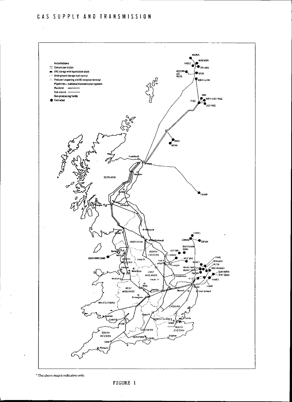

<sup>2</sup> The above map is indicative only.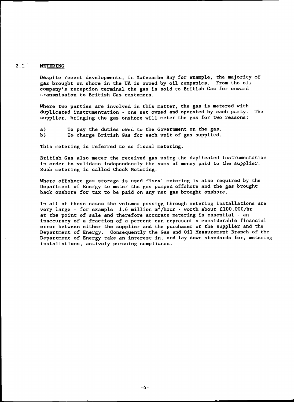# 2.1 METERING

Despite recent developments, in Morecambe Bay for example, the majority of gas brought on shore in the UK is owned by oil companies. From the oil company's reception terminal the gas is sold to British Gas for onward transmission to British Gas customers.

Where two parties are involved in this matter, the gas is metered with duplicated instrumentation - one set owned and operated by each party. The supplier, bringing the gas onshore will meter the gas for two reasons:

a) b) To pay the duties owed to the Government on the gas. To charge British Gas for each unit of gas supplied.

This metering is referred to as fiscal metering.

British Gas also meter the received gas using the duplicated instrumentation in order to validate independently the sums of money paid to the supplier. Such metering is called Check Metering.

Where offshore gas storage is used fiscal metering is also required by the Department of Energy to meter the gas pumped offshore and the gas brought back onshore for tax to be paid on any net gas brought onshore.

In all of these cases the volumes passing through metering installations are very large - for example 1.6 million  $m^3/h$ our - worth about £100,000/hr at the point of sale and therefore accurate metering is essential - an inaccuracy of a fraction of a percent can represent a considerable financial error between either the supplier and the purchaser or the supplier and the Department of Energy. Consequently the Gas and Oil Measurement Branch of the Department of Energy take an interest in, and lay down standards for, metering installations, actively pursuing compliance.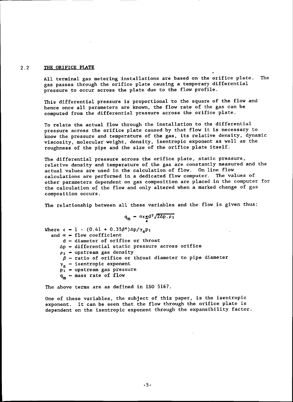#### 2.2 THE ORIFICE PLATE

All terminal gas metering installations are based on the orifice plate. The gas passes through the orifice plate causing a temporary differential pressure to occur across the plate due to the flow profile.

This differential pressure is proportional to the square of the flow and hence once all parameters are known, the flow rate of the gas can be computed from the differential pressure across the orifice plate.

To relate the actual flow through the installation to the differential pressure across the orifice plate caused by that flow it is necessary to know the pressure and temperature of the gas, its relative density, dynamic viscosity, molecular weight, density, isentropic exponent as well as the roughness of the pipe and the size of the orifice plate itself.

The differential pressure across the orifice plate, static pressure, relative density and temperature of the gas are constantly measured and the actual values are used in the calculation of flow. On line flow calculations are performed in a dedicated flow computer. The values of other parameters dependent on gas composition are placed in the computer for the calculation of the flow and only altered when a marked change of gas composition occurs.

The relationship between all these variables and the flow is given thus:

$$
q_{m} = \frac{\alpha \epsilon \pi d^2 \sqrt{2\Delta p \cdot \rho_1}}{4}
$$

Where  $\epsilon = 1 - (0.41 + 0.35\beta^4) \Delta p / \gamma_s p_1$ and  $\alpha$  = flow coefficient  $d = diameter of orifice$  or throat  $\Delta p$  = differential static pressure across orifice  $\rho_1$  = upstream gas density  $\beta$  = ratio of orifice or throat diameter to pipe diameter  $\gamma_{\rm s}$  = isentropic exponent  $p_1$  = upstream gas pressure  $q_m$  = mass rate of flow

The above terms are as defined in ISO 5167.

One of these variables, the subject of this paper, is the isentropic exponent. It can be seen that the flow through the orifice plate is dependent on the isentropic exponent through the expansibility factor.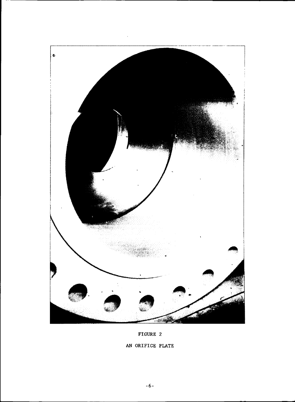

# FIGURE 2

# AN ORIFICE PLATE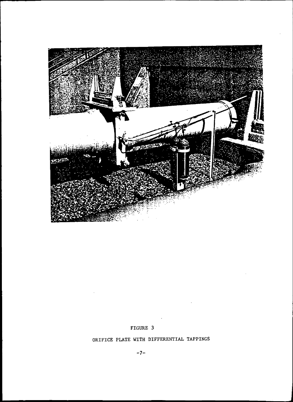

# FIGURE 3

# ORIFICE PLATE WITH DIFFERENTIAL TAPPINGS

 $\sim 10^{-11}$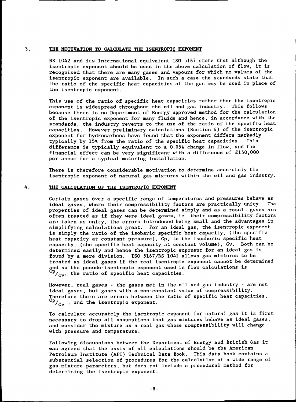## 3. THE MOTIVATION TO CALCUlATE THE ISENTROPIC EXPONENT

BS 1042 and its International equivalent ISO 5167 state that although the isentropic exponent should be used in the above calculation of flow. it is recognised that there are many gases and vapours for which no values of the isentropic exponent are available. In such a case the standards state that the ratio of the specific heat capacities of the gas may be used in place of the isentropic exponent.

This use of the ratio of specific heat capacities rather than the isentropic exponent is widespread throughout the oil and gas industry. This follows because there is no Department of Energy approved method for the calculation of the isentropic exponent for many fluids and hence. in accordance with the standards. the industry reverts to the use of the ratio of the specific heat capacities. However preliminary calculations (Section 4) of the isentropic exponent for hydrocarbons have found that the exponent differs markedly typically by 15% from the ratio of the specific heat capacities. This difference is typically equivalent to a 0.05% change in flow. and the financial effect can be very significant with a difference of £150.000 per annum for a typical metering installation.

There is therefore considerable motivation to determine accurately the isentropic exponent of natural gas mixtures within the oil and gas industry.

### 4. THE CALCULATION OF THE ISENTROPIC EXPONENT

Certain gases over a specific range of temperatures and pressures behave as ideal gases. where their compressibility factors are practically unity. The properties of ideal gases can be determined simply and as a result gases are often treated as if they were ideal gases, ie. their compressibility factors are taken as unity. the errors introduced being small and the advantages in simplifying calculations great. For an ideal gas, the isentropic exponent is simply the ratio of the isobaric specific heat capacity, (the specific heat capacity at constant pressure), Cp, to the isochoric specific heat capacity. (the specific heat capacity at constant volume). Cv. Both can be determined easily and hence the isentropic exponent for an ideal gas is found by a mere division. ISO 5l67/B5 1042 allows gas mixtures to be treated as ideal gases if the real isentropic exponent cannot be determined and so the pseudo-isentropic exponent used in flow calculations is  $\rm{^{\mathrm{op}}/_{\mathrm{Cv}}}$ , the ratio of specific heat capacities.

However. real gases - the gases met in the oil and gas industry - are not ideal gases. but gases with a non-constant value of compressibility. Therefore there are errors between the ratio of specific heat capacities.  $\rm{^{VP}/_{Cv}}$  , and the isentropic exponent.

To calculate accurately the isentropic exponent for natural gas it is first necessary to drop all assumptions that gas mixtures behave as ideal gases. and consider the mixture as a real gas whose compressibility will change with pressure and temperature.

Following discussions between the Department of Energy and British Gas it was agreed that the basis of all calculations should be the American Petroleum Institute (API) Technical Data Book. This data book contains a substantial selection of procedures for the calculation of a wide range of gas mixture parameters, but does not include a procedural method for determining the isentropic exponent.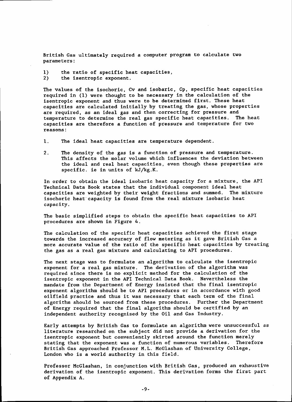British Gas ultimately required a computer program to calculate two parameters:

- 1) the ratio of specific heat capacities,
- 2) the isentropic exponent.

The values of the isochoric, Cv and isobaric, Cp, specific heat capacities required in (1) were thought to be necessary in the calculation of the isentropic exponent and thus were to be determined first. These heat capacities are calculated initially by treating the gas, whose properties are required, as an ideal gas and then correcting for pressure and temperature to determine the real gas specific heat capacities. The heat capacities are therefore a function of pressure and temperature for two reasons:

- 1. The ideal heat capacities are temperature dependent.
- 2. The density of the gas is a function of pressure and temperature. This affects the molar volume which influences the deviation between the ideal and real heat capacities, even though these properties are specific. ie in units of kJ/kg.K.

In order to obtain the ideal isobaric heat capacity for a mixture, the API Technical Data Book states that the individual component ideal heat capacities are weighted by their weight fractions and summed. The mixture isochoric heat capacity is found from the real mixture isobaric heat capacity.

The basic simplified steps to obtain the specific heat capacities to API procedures are shown in Figure 4.

The calculation of the specific heat capacities achieved the first stage towards the increased accuracy of flow metering as it gave British Gas a more accurate value of the ratio of the specific heat capacities by treating the gas as a real gas mixture and calculating to API procedures.

The next stage was to formulate an algorithm to calculate the isentropic exponent for a real gas mixture. The derivation of the algorithm was required since there is no explicit method for the calculation of the isentropic exponent in the API Technical Data Book. Nevertheless the mandate from the Department of Energy insisted that the final isentropic exponent algorithm should be to API procedures or in accordance with good oilfield practice and thus it was necessary that each term of the final algorithm should be sourced from these procedures. Further the Department of Energy required that the final algorithm should be certified by an independent authority recognised by the Oil and Gas Industry.

Early attempts by British Gas to formulate an algorithm were unsuccessful as literature researched on the subject did not provide a derivation for the isentropic exponent but conveniently skirted around the function merely stating that the exponent was a function of numerous variables. Therefore British Gas approached Professor M.L. McGlashan of University College, London who is a world authority in this field.

Professor McGlashan, in conjunction with British Gas, produced an exhaustive derivation of the isentropic exponent. This derivation forms the first part of Appendix A.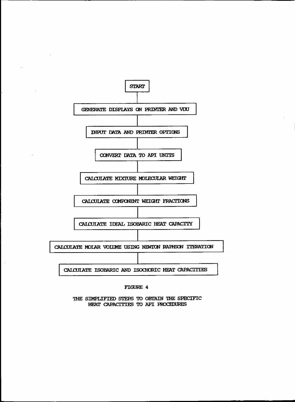

**FIGURE 4** 

THE SIMPLIFIED STEPS TO OBTAIN THE SPECIFIC HEAT CAPACITIES TO API PROCEDURES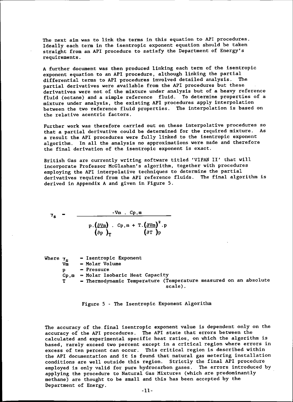The next aim was to link the terms in this equation to API procedures. Ideally each term in the isentropic exponent equation should be taken straight from an API procedure to satisfy the Department of Energy's requirements.

A further document was then produced linking each term of the isentropic exponent equation to an API procedure, although linking the partial differential terms to API procedures involved detailed analysis. The partial derivatives were available from the API procedures but these derivatives were not of the mixture under analysis but of a heavy reference fluid (octane) and a simple reference fluid. To determine properties of a mixture under analysis, the existing API procedures apply interpolation between the two reference fluid properties. The interpolation is based on the relative acentric factors.

Further work was therefore carried out on these interpolative procedures so that a partial derivative could be determined for the required mixture. As a result the API procedures were fully linked to the isentropic exponent algorithm. In all the analysis no approximations were made and therefore the final derivation of the isentropic exponent is exact.

British Gas are currently writing software titled 'VIPAN II' that will incorporate Professor McGlashan's algorithm, together with procedures employing the API interpolative techniques to determine the partial derivatives required from the API reference fluids. The final algorithm is derived in Appendix A and given in Figure 5.

$$
\gamma_{s} = \frac{-v_{m} \cdot c_{p,m}}{p \cdot (\frac{\partial v_{m}}{\partial p})_{T} \cdot c_{p,m} + T \cdot (\frac{\partial v_{m}}{\partial T})_{p}^{2} \cdot p}
$$

| Where $\gamma_e$ |    | - Isentropic Exponent                                            |
|------------------|----|------------------------------------------------------------------|
|                  | Vm | - Molar Volume                                                   |
|                  | D  | - Pressure                                                       |
|                  |    | $Cp, m = Molar Isobaric Heat Capacity$                           |
|                  | T  | - Thermodynamic Temperature (Temperature measured on an absolute |
|                  |    | scale).                                                          |

Figure 5 - The Isentropic Exponent Algorithm

The accuracy of the final isentropic exponent value is dependent only on the accuracy of the API procedures. The API state that errors between the calculated and experimental specific heat ratios, on which the algorithm is based, rarely exceed two percent except in a critical region where errors in excess of ten percent can occur. This critical region is described within the API documentation and it is found that natural gas metering installation conditions are well outside this region. Strictly the final API procedure employed is only valid for pure hydrocarbon gases. The errors introduced by applying the procedure to Natural Gas Mixtures (which are predominantly methane) are thought to be small and this has been accepted by the Department of Energy.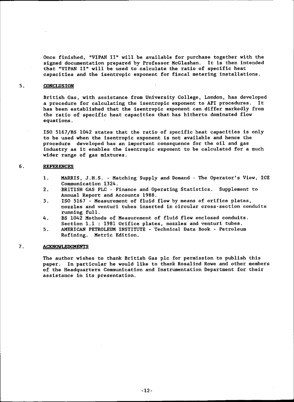Once finished, "VIPAN II" will be available for purchase together with the signed documentation prepared by Professor McGlashan. It is then intended that "VIPAN II" will be used to calculate the ratio of specific heat capacities and the isentropic exponent for fiscal metering installations.

### 5. CONCLUSION

British Gas, with assistance from University College, London, has developed a procedure for calculating the isentropic exponent to API procedures. It has been established that the isentropic exponent can differ markedly from the ratio of specific heat capacities that has hitherto dominated flow equations.

ISO 5l67/BS 1042 states that the ratio of specific heat capacities is only to be used when the isentropic exponent is not available and hence the procedure developed has an important consequence for the oil and gas industry as it enables the isentropic exponent to be calculated for a much wider range of gas mixtures.

## 6. REFERENCES

- 1. MARRIS, J.H.S. Matching Supply and Demand The Operator's View, IGE Communication 1324.
- 2. BRITISH GAS PLC Finance and Operating Statistics. Supplement to Annual Report and Accounts 1988.
- 3. ISO 5167'- Measurement of fluid flow by means of orifice plates, nozzles and venturi tubes inserted in circular cross-section conduits running full.
- 4. BS 1042 Methods of Measurement of fluid flow enclosed conduits. Section 1.1 : 1981 Orifice plates, nozzles and venturi tubes.
- 5. AMERICAN PETROLEUM INSTITUTE Technical Data Book Petroleum Refining. Metric Edition.

## 7. ACKNOWLEDGMENTS

The author wishes to thank British Gas pIc for permission to publish this paper. In particular he would like to thank Rosalind Rowe and other members of the Headquarters Communication and Instrumentation Department for their assistance in its presentation.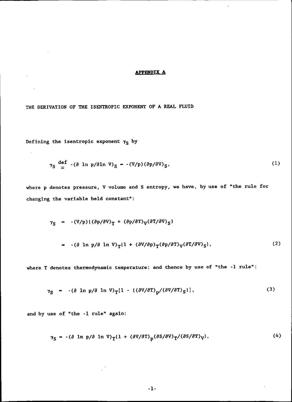### **APPENDIX A**

THE DERIVATION OF THE ISENTROPIC EXPONENT OF'A REAL FLUID

Defining the isentropic exponent  $\gamma_S$  by

 $\sim 10$ 

 $\Delta \sim 10^4$ 

 $\sim 10^{-1}$ 

$$
\gamma_{\rm S} \stackrel{\rm def}{=} \left( \partial \ln p / \partial \ln V \right)_{\rm S} - \left( V / p \right) \left( \partial p / \partial V \right)_{\rm S}, \tag{1}
$$

where p denotes pressure, V volume and S entropy, we have, by use of "the rule for changing the variable held constant":

$$
\gamma_{S} = -(\mathbf{V}/\mathbf{p})\{(\partial \mathbf{p}/\partial \mathbf{V})_{T} + (\partial \mathbf{p}/\partial \mathbf{T})_{V}(\partial \mathbf{T}/\partial \mathbf{V})_{S}\}\
$$
  
 
$$
= -(\partial \ln \mathbf{p}/\partial \ln \mathbf{V})_{T}\{1 + (\partial \mathbf{V}/\partial \mathbf{p})_{T}(\partial \mathbf{p}/\partial \mathbf{T})_{V}(\partial \mathbf{T}/\partial \mathbf{V})_{S}\},
$$
 (2)

where T denotes thermodynamic temperature: and thence by use of "the -1 rule":

$$
\gamma_{\rm S} = -(\partial \ln p/\partial \ln V)_{\rm T} [1 - ((\partial V/\partial T)_{\rm D}/(\partial V/\partial T)_{\rm S})], \qquad (3)
$$

and by use of "the -1 rule" again:

$$
\gamma_{\rm S} = -(\partial \ln p/\partial \ln V)_{\rm T} (1 + (\partial V/\partial T)_{\rm p} (\partial S/\partial V)_{\rm T}/(\partial S/\partial T)_{\rm V}). \tag{4}
$$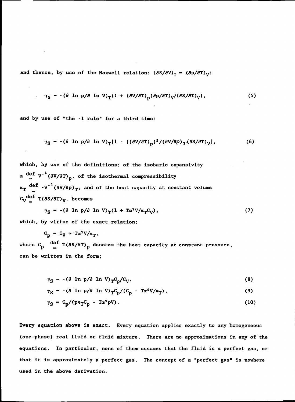and thence, by use of the Maxwell relation:  $(\partial S/\partial V)_T$  -  $(\partial p/\partial T)_V$ :

$$
\gamma_{\rm S} = -(\partial \ln p/\partial \ln V)_{\rm T} (1 + (\partial V/\partial T)_{\rm n} (\partial p/\partial T)_{\rm V}/(\partial S/\partial T)_{\rm V}), \qquad (5)
$$

and by use of "the  $-1$  rule" for a third time:

$$
\gamma_{\rm S} = -(\partial \ln p/\partial \ln V)_{\rm T} [1 - ((\partial V/\partial T)_{\rm p})^2/(\partial V/\partial p)_{\rm T} (\partial S/\partial T)_{\rm V}], \qquad (6)
$$

which, by use of the definitions: of the isobaric expansivity  $\alpha \stackrel{\text{def}}{=} V^{-1} (\partial V / \partial T)_{p}$ , of the isothermal compressibility  $\kappa_T$  def -V<sup>-1</sup>( $\partial V/\partial p$ )<sub>T</sub>, and of the heat capacity at constant volume  $\begin{array}{cc} \rm{c}_{V}^{\rm{def}}~\rm{T}(\it{dS/dT})_{V},~\rm{becomes} \end{array}$ 

$$
\gamma_{\rm S} = -(\partial \ln p/\partial \ln V)_{\rm T} (1 + \text{Ta}^2 V/\kappa_{\rm T} C_{\rm V}), \qquad (7)
$$

which, by virtue of the exact relation:

$$
C_p = C_V + T\alpha^2 V/\kappa_T,
$$

where  $C_{\rm p}$   $\left. \begin{array}{l l} {\displaystyle \frac{{\bf u}{\bf e}\cdot{\bf r}}{2}} & {\displaystyle \frac{{\bf u}{\bf e}\cdot{\bf r}}{2}} \end{array} \right\}$  denotes the heat capacity at constant pressure, can be written in the form;

$$
\gamma_{\rm S} = -(\partial \ln p/\partial \ln V)_{\rm T} C_{\rm p}/C_{\rm V},\tag{8}
$$

$$
\gamma_{\rm S} = -(\partial \ln p/\partial \ln V)_{\rm T} C_{\rm p}/(C_{\rm p} - T\alpha^2 V/\kappa_{\rm T}), \qquad (9)
$$

$$
\gamma_S = C_p / (p \kappa_T C_p - T \alpha^2 p V). \tag{10}
$$

Every equation above is exact. Every equation applies exactly to any homogeneous (one-phase) real fluid or fluid mixture. There are no approximations in any of the equations. In particular, none of them assumes that the fluid is a perfect gas, or that it is approximately a perfect gas. The concept of a "perfect gas" is nowhere used in the above derivation.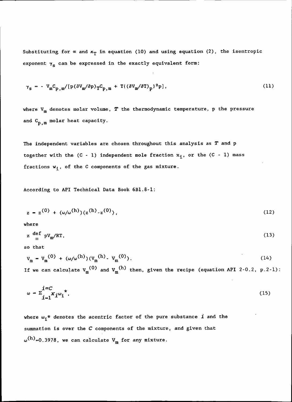Substituting for  $\alpha$  and  $\kappa_T$  in equation (10) and using equation (2), the isentropic exponent  $\gamma_{s}$  can be expressed in the exactly equivalent form:

$$
\gamma_{\rm s} = - V_{\rm m} C_{\rm p,m} / [p(\partial V_{\rm m}/\partial p)_{\rm T} C_{\rm p,m} + T((\partial V_{\rm m}/\partial T)_{\rm p})^2 p], \qquad (11)
$$

where  $V_m$  denotes molar volume,  $T$  the thermodynamic temperature, p the pressure and  $C_{p,m}$  molar heat capacity.

The independent variables are chosen throughout this analysis as  $T$  and  $p$ together with the  $(C - 1)$  independent mole fraction  $x_i$ , or the  $(C - 1)$  mass fractions  $w_i'$ , of the C components of the gas mixture.

According to API Technical Data Book 6Bl.8-1:

$$
z = z^{(0)} + (\omega/\omega^{(h)}) (z^{(h)} - z^{(0)}), \qquad (12)
$$

where

$$
z \stackrel{\text{def}}{=} PV_m / RT, \tag{13}
$$

so that

$$
V_m = V_m^{(0)} + (\omega/\omega^{(h)}) (V_m^{(h)} - V_m^{(0)}).
$$
 (14)

If we can calculate  $V_m^{(0)}$  and  $V_m^{(h)}$  then, given the recipe (equation API 2-0.2, p.2-1):

$$
\omega = \sum_{i=1}^{i=C} x_i \omega_i^*,\tag{15}
$$

where  $\omega_{\bf i}^{\, \, \star}$  denotes the acentric factor of the pure substance  $\,$  i and the summation is over the C components of the mixture, and given that  $\omega^{(h)}$ =0.3978, we can calculate V<sub>m</sub> for any mixture.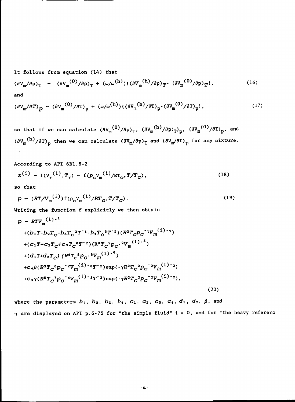It follows from equation (14) that

$$
(\partial V_{\mathbf{m}}/\partial p)_{\mathbf{T}} = (\partial V_{\mathbf{m}}^{(0)}/\partial p)_{\mathbf{T}} + (\omega/\omega^{(h)}) (\left(\partial V_{\mathbf{m}}^{(h)}/\partial p\right)_{\mathbf{T}} - (\partial V_{\mathbf{m}}^{(0)}/\partial p)_{\mathbf{T}}), \qquad (16)
$$
 and

$$
(\partial V_m/\partial T)_p = (\partial V_m^{(0)}/\partial T)_p + (\omega/\omega^{(h)}) (\left(\partial V_m^{(h)}/\partial T\right)_p - (\partial V_m^{(0)}/\partial T)_p), \qquad (17)
$$

so that if we can calculate  $(\partial V_m^{\phantom{\dagger}}^{\phantom{\dagger}}(\partial p)_T^{\phantom{\dagger}}, \phantom{\dagger} (\partial V_m^{\phantom{\dagger}}^{\phantom{\dagger}})'(\partial p)_T^{\phantom{\dagger}})_p^{\phantom{\dagger}}, \phantom{\dagger} (\partial V_m^{\phantom{\dagger}}^{\phantom{\dagger}}(\partial p)_T^{\phantom{\dagger}})_p^{\phantom{\dagger}},$  and  $\left(\partial V_{\rm m}{}^{\rm (H)}/\partial T\right)_{\rm p}$  then we can calculate  $\left(\partial V_{\rm m}/\partial p\right)_{\rm T}$  and  $\left(\partial V_{\rm m}/\partial T\right)_{\rm p}$  for any mixture.

According to API 6Bl.8-2

$$
z^{(1)} = f(V_r^{(1)}, T_r) = f(p_c V_m^{(1)}/RT_c, T/T_c),
$$
\n(18)

so that

$$
p = (RT/V_{\rm m}^{(1)}) f(p_{\rm c}V_{\rm m}^{(1)}/RT_{C}, T/T_{C}).
$$
\n(19)

Writing the function f explicitly we then obtain

$$
p = RTV_{m}^{(i)-1}
$$
  
+ $(b_{1}T-b_{2}T_{C}-b_{3}T_{C}^{2}T^{-1}-b_{4}T_{C}^{3}T^{-2})(R^{2}T_{C}P_{C}^{-1}V_{m}^{(i)-2})$   
+ $(c_{1}T-c_{2}T_{C}+c_{3}T_{C}^{3}T^{-2})(R^{3}T_{C}^{2}P_{C}^{-2}V_{m}^{(i)-3})$   
+ $(d_{1}T+d_{2}T_{C}) (R^{6}T_{C}^{5}P_{C}^{-5}V_{m}^{(i)-6})$   
+ $c_{4}\beta (R^{3}T_{C}^{5}P_{C}^{-2}V_{m}^{(i)-3}T^{-2})\exp(-\gamma R^{2}T_{C}^{2}P_{C}^{-2}V_{m}^{(i)-2})$   
+ $c_{4}\gamma (R^{5}T_{C}^{7}P_{C}^{-4}V_{m}^{(i)-5}T^{-2})\exp(-\gamma R^{2}T_{C}^{2}P_{C}^{-2}V_{m}^{(i)-2}),$  (20)

where the parameters  $\boldsymbol{b}_1$ ,  $\boldsymbol{b}_2$ ,  $\boldsymbol{b}_3$ ,  $\boldsymbol{b}_4$ ,  $\boldsymbol{c}_1$ ,  $\boldsymbol{c}_2$ ,  $\boldsymbol{c}_3$ ,  $\boldsymbol{c}_4$ ,  $\boldsymbol{d}_1$ ,  $\boldsymbol{d}_2$ ,  $\boldsymbol{\beta}$ , and  $\gamma$  are displayed on API p.6-75 for "the simple fluid"  $i = 0$ , and for "the heavy referenc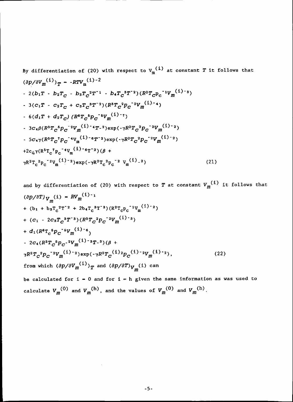By differentiation of (20) with respect to V<sub>m</sub><sup>(1)</sup> at constant T it follows that  
\n
$$
(\partial p/\partial V_m^{(i)})_T - RTV_m^{(1)-2}
$$
  
\n- 2(b<sub>1</sub>T - b<sub>2</sub>T<sub>C</sub> - b<sub>3</sub>T<sub>C</sub><sup>2</sup>T<sup>-1</sup> - b<sub>4</sub>T<sub>C</sub><sup>3</sup>T<sup>-2</sup>) (R<sup>2</sup>T<sub>C</sub>P<sub>C</sub><sup>-1</sup>V<sub>m</sub><sup>(1)-3</sup>)  
\n- 3(c<sub>1</sub>T - c<sub>2</sub>T<sub>C</sub> + c<sub>3</sub>T<sub>C</sub><sup>3</sup>T<sup>-2</sup>) (R<sup>3</sup>T<sub>C</sub><sup>2</sup>P<sub>C</sub><sup>-2</sup>V<sub>m</sub><sup>(1)-4</sup>)  
\n- 6(d<sub>1</sub>T + d<sub>2</sub>T<sub>C</sub>) (R<sup>6</sup>T<sub>C</sub><sup>6</sup>P<sub>C</sub><sup>-5</sup>V<sub>m</sub><sup>(1)-7</sup>)  
\n- 3c<sub>4</sub>β(R<sup>3</sup>T<sub>C</sub><sup>6</sup>P<sub>C</sub><sup>-2</sup>V<sub>m</sub><sup>(1)-4</sup>T<sup>-2</sup>)exp(-<sub>7</sub>R<sup>2</sup>T<sub>C</sub><sup>2</sup>P<sub>C</sub><sup>-2</sup>V<sub>m</sub><sup>(1)-2</sup>)  
\n- 5c<sub>4</sub>γ(R<sup>5</sup>T<sub>C</sub><sup>7</sup>P<sub>C</sub><sup>-4</sup>V<sub>m</sub><sup>(1)-6</sup>T<sup>-2</sup>)exp(-<sub>7</sub>R<sup>2</sup>T<sub>C</sub><sup>2</sup>P<sub>C</sub><sup>-2</sup>V<sub>m</sub><sup>(1)-2</sup>)  
\n+2c<sub>4</sub>γ(R<sup>5</sup>T<sub>C</sub><sup>7</sup>P<sub>C</sub><sup>-4</sup>V<sub>m</sub><sup>(1)-6</sup>T<sup>-2</sup>)(β +  
\n $γR<sup>2</sup>T<sub>C</sub><sup>2</sup>P<sub>C</sub><sup>-2</sup>V<sub>m</sub><sup>(1)-2</sup>)exp(-<sub>7</sub>R<sup>2</sup>T<sub>C</sub><sup>2</sup>$ 

and by differentiation of (20) with respect to 
$$
T
$$
 at constant  $V_m^{(1)}$  it follows that  
\n
$$
(\partial p/\partial T)_{V_m}(i) - RV_m^{(1)-1}
$$
\n+  $(b_1 + b_3T_c^2T^{-2} + 2b_4T_c^3T^{-3})(R^2T_cP_c^{-1}V_m^{(1)-2})$   
\n+  $(c_1 - 2c_3T_c^3T^{-3})(R^3T_c^2P_c^{-2}V_m^{(1)-3})$   
\n+  $d_1(R^8T_c^5P_c^{-5}V_m^{(1)-6})$   
\n-  $2c_4(R^3T_c^5P_c^{-2}V_m^{(1)-3}T^{-3})(\beta +$   
\n $\gamma R^2T_c^2P_c^{-2}V_m^{(1)-2})\exp(-\gamma R^2T_c^{(1)}^2P_c^{(1)-2}V_m^{(1)-2}),$  (22)  
\nfrom which  $(\partial p/\partial V_m^{(1)})_T$  and  $(\partial p/\partial T)_{V_m}(i)$  can  
\nbe calculated for  $i = 0$  and for  $i = h$  given the same information as was used to

calculated for  $i = 0$  and for  $i = h$  given the same informat calculate  $V_m^{(0)}$  and  $V_m^{(h)}$ , and the values of  $V_m^{(0)}$  and  $V_m^{(h)}$ .